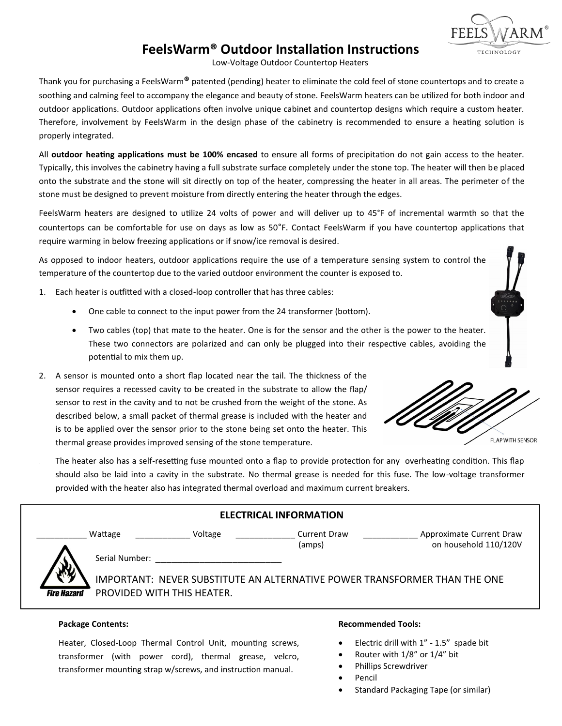# **FeelsWarm® Outdoor Installation Instructions**

Low-Voltage Outdoor Countertop Heaters

Thank you for purchasing a FeelsWarm**®** patented (pending) heater to eliminate the cold feel of stone countertops and to create a soothing and calming feel to accompany the elegance and beauty of stone. FeelsWarm heaters can be utilized for both indoor and outdoor applications. Outdoor applications often involve unique cabinet and countertop designs which require a custom heater. Therefore, involvement by FeelsWarm in the design phase of the cabinetry is recommended to ensure a heating solution is properly integrated.

All **outdoor heating applications must be 100% encased** to ensure all forms of precipitation do not gain access to the heater. Typically, this involves the cabinetry having a full substrate surface completely under the stone top. The heater will then be placed onto the substrate and the stone will sit directly on top of the heater, compressing the heater in all areas. The perimeter of the stone must be designed to prevent moisture from directly entering the heater through the edges.

FeelsWarm heaters are designed to utilize 24 volts of power and will deliver up to 45°F of incremental warmth so that the countertops can be comfortable for use on days as low as 50°F. Contact FeelsWarm if you have countertop applications that require warming in below freezing applications or if snow/ice removal is desired.

As opposed to indoor heaters, outdoor applications require the use of a temperature sensing system to control the temperature of the countertop due to the varied outdoor environment the counter is exposed to.

- 1. Each heater is outfitted with a closed-loop controller that has three cables:
	- One cable to connect to the input power from the 24 transformer (bottom).
	- Two cables (top) that mate to the heater. One is for the sensor and the other is the power to the heater. These two connectors are polarized and can only be plugged into their respective cables, avoiding the potential to mix them up.
- 2. A sensor is mounted onto a short flap located near the tail. The thickness of the sensor requires a recessed cavity to be created in the substrate to allow the flap/ sensor to rest in the cavity and to not be crushed from the weight of the stone. As described below, a small packet of thermal grease is included with the heater and is to be applied over the sensor prior to the stone being set onto the heater. This thermal grease provides improved sensing of the stone temperature.



TECHNOLOGY

The heater also has a self-resetting fuse mounted onto a flap to provide protection for any overheating condition. This flap should also be laid into a cavity in the substrate. No thermal grease is needed for this fuse. The low-voltage transformer provided with the heater also has integrated thermal overload and maximum current breakers.

| <b>ELECTRICAL INFORMATION</b> |                |                                                                           |                               |                                                   |  |  |  |  |  |
|-------------------------------|----------------|---------------------------------------------------------------------------|-------------------------------|---------------------------------------------------|--|--|--|--|--|
|                               | Wattage        | Voltage                                                                   | <b>Current Draw</b><br>(amps) | Approximate Current Draw<br>on household 110/120V |  |  |  |  |  |
| ע                             | Serial Number: |                                                                           |                               |                                                   |  |  |  |  |  |
|                               |                | IMPORTANT: NEVER SUBSTITUTE AN ALTERNATIVE POWER TRANSFORMER THAN THE ONE |                               |                                                   |  |  |  |  |  |
| <b>Fire Hazard</b>            |                | PROVIDED WITH THIS HEATER.                                                |                               |                                                   |  |  |  |  |  |

### **Package Contents:**

Heater, Closed-Loop Thermal Control Unit, mounting screws, transformer (with power cord), thermal grease, velcro, transformer mounting strap w/screws, and instruction manual.

### **Recommended Tools:**

- Electric drill with 1" 1.5" spade bit
- Router with 1/8" or 1/4" bit
- Phillips Screwdriver
- Pencil
- Standard Packaging Tape (or similar)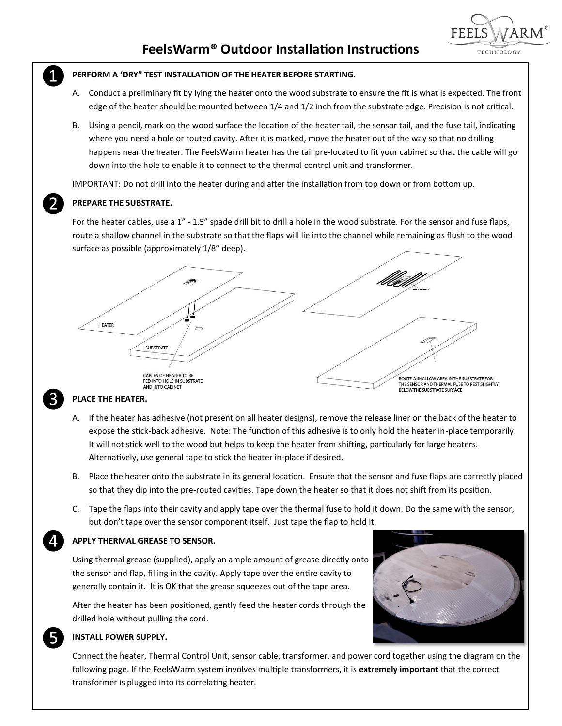

## **PERFORM A 'DRY" TEST INSTALLATION OF THE HEATER BEFORE STARTING.**

- A. Conduct a preliminary fit by lying the heater onto the wood substrate to ensure the fit is what is expected. The front edge of the heater should be mounted between 1/4 and 1/2 inch from the substrate edge. Precision is not critical.
- B. Using a pencil, mark on the wood surface the location of the heater tail, the sensor tail, and the fuse tail, indicating where you need a hole or routed cavity. After it is marked, move the heater out of the way so that no drilling happens near the heater. The FeelsWarm heater has the tail pre-located to fit your cabinet so that the cable will go down into the hole to enable it to connect to the thermal control unit and transformer.

IMPORTANT: Do not drill into the heater during and after the installation from top down or from bottom up.



❸

❹

❺

❶

## **PREPARE THE SUBSTRATE.**

For the heater cables, use a 1" - 1.5" spade drill bit to drill a hole in the wood substrate. For the sensor and fuse flaps, route a shallow channel in the substrate so that the flaps will lie into the channel while remaining as flush to the wood surface as possible (approximately 1/8" deep).



## **PLACE THE HEATER.**

- A. If the heater has adhesive (not present on all heater designs), remove the release liner on the back of the heater to expose the stick-back adhesive. Note: The function of this adhesive is to only hold the heater in-place temporarily. It will not stick well to the wood but helps to keep the heater from shifting, particularly for large heaters. Alternatively, use general tape to stick the heater in-place if desired.
- B. Place the heater onto the substrate in its general location. Ensure that the sensor and fuse flaps are correctly placed so that they dip into the pre-routed cavities. Tape down the heater so that it does not shift from its position.
- C. Tape the flaps into their cavity and apply tape over the thermal fuse to hold it down. Do the same with the sensor, but don't tape over the sensor component itself. Just tape the flap to hold it.

## **APPLY THERMAL GREASE TO SENSOR.**

Using thermal grease (supplied), apply an ample amount of grease directly onto the sensor and flap, filling in the cavity. Apply tape over the entire cavity to generally contain it. It is OK that the grease squeezes out of the tape area.

After the heater has been positioned, gently feed the heater cords through the drilled hole without pulling the cord.



## **INSTALL POWER SUPPLY.**

Connect the heater, Thermal Control Unit, sensor cable, transformer, and power cord together using the diagram on the following page. If the FeelsWarm system involves multiple transformers, it is **extremely important** that the correct transformer is plugged into its correlating heater.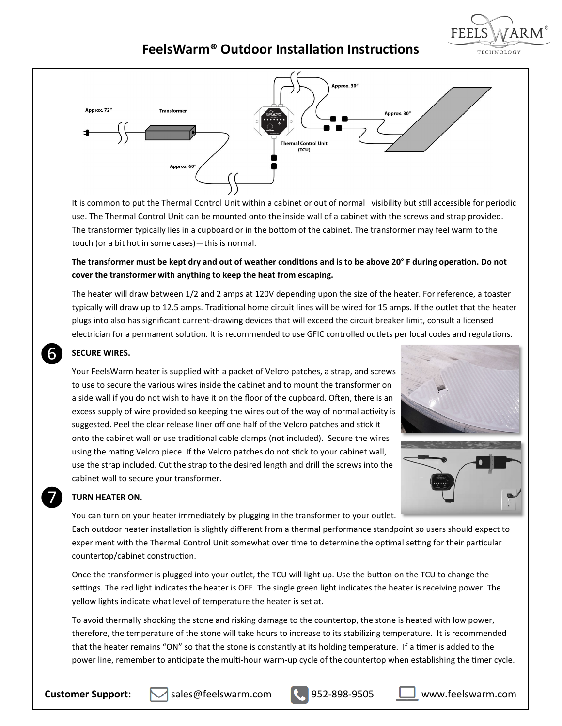

# **FeelsWarm® Outdoor Installation Instructions**



It is common to put the Thermal Control Unit within a cabinet or out of normal visibility but still accessible for periodic use. The Thermal Control Unit can be mounted onto the inside wall of a cabinet with the screws and strap provided. The transformer typically lies in a cupboard or in the bottom of the cabinet. The transformer may feel warm to the touch (or a bit hot in some cases)—this is normal.

# **The transformer must be kept dry and out of weather conditions and is to be above 20° F during operation. Do not cover the transformer with anything to keep the heat from escaping.**

The heater will draw between 1/2 and 2 amps at 120V depending upon the size of the heater. For reference, a toaster typically will draw up to 12.5 amps. Traditional home circuit lines will be wired for 15 amps. If the outlet that the heater plugs into also has significant current-drawing devices that will exceed the circuit breaker limit, consult a licensed electrician for a permanent solution. It is recommended to use GFIC controlled outlets per local codes and regulations.

## **SECURE WIRES.**

Your FeelsWarm heater is supplied with a packet of Velcro patches, a strap, and screws to use to secure the various wires inside the cabinet and to mount the transformer on a side wall if you do not wish to have it on the floor of the cupboard. Often, there is an excess supply of wire provided so keeping the wires out of the way of normal activity is suggested. Peel the clear release liner off one half of the Velcro patches and stick it onto the cabinet wall or use traditional cable clamps (not included). Secure the wires using the mating Velcro piece. If the Velcro patches do not stick to your cabinet wall, use the strap included. Cut the strap to the desired length and drill the screws into the cabinet wall to secure your transformer.





## **TURN HEATER ON.**

❼

❻

You can turn on your heater immediately by plugging in the transformer to your outlet. Each outdoor heater installation is slightly different from a thermal performance standpoint so users should expect to experiment with the Thermal Control Unit somewhat over time to determine the optimal setting for their particular countertop/cabinet construction.

Once the transformer is plugged into your outlet, the TCU will light up. Use the button on the TCU to change the settings. The red light indicates the heater is OFF. The single green light indicates the heater is receiving power. The yellow lights indicate what level of temperature the heater is set at.

To avoid thermally shocking the stone and risking damage to the countertop, the stone is heated with low power, therefore, the temperature of the stone will take hours to increase to its stabilizing temperature. It is recommended that the heater remains "ON" so that the stone is constantly at its holding temperature. If a timer is added to the power line, remember to anticipate the multi-hour warm-up cycle of the countertop when establishing the timer cycle.

**Customer Support:** M sales@feelswarm.com **R**, 952-898-9505 U www.feelswarm.com